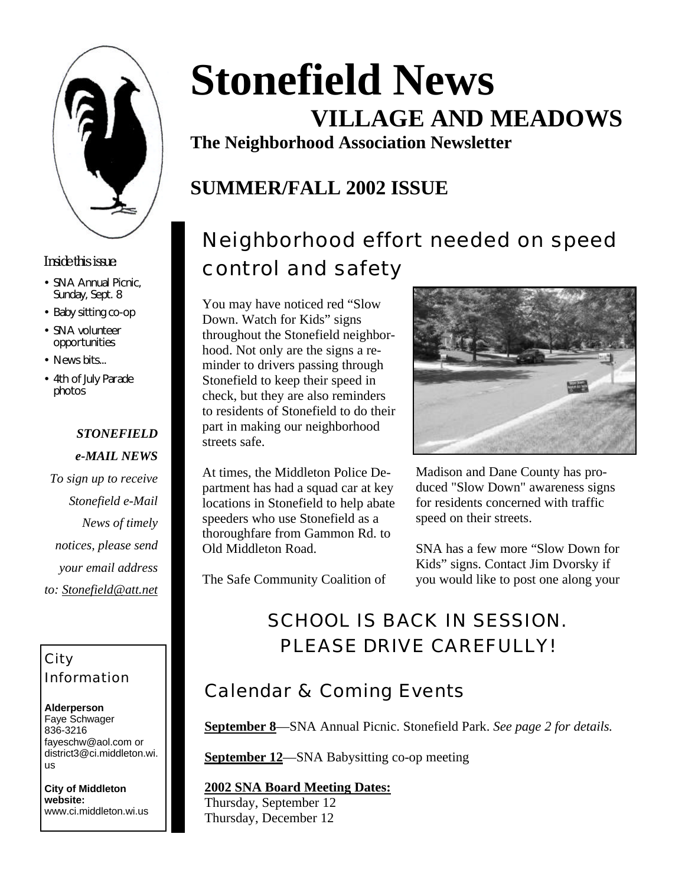

#### *Inside this issue:*

- SNA Annual Picnic, Sunday, Sept. 8
- Baby sitting co-op
- SNA volunteer opportunities
- News bits...
- 4th of July Parade photos

#### *STONEFIELD e-MAIL NEWS*

*To sign up to receive Stonefield e-Mail News of timely notices, please send your email address to: Stonefield@att.net*

### City Information

**Alderperson** Faye Schwager 836-3216 fayeschw@aol.com or district3@ci.middleton.wi. us

**City of Middleton website:** www.ci.middleton.wi.us

# **Stonefield News VILLAGE AND MEADOWS**

**The Neighborhood Association Newsletter**

### **SUMMER/FALL 2002 ISSUE**

## Neighborhood effort needed on speed control and safety

You may have noticed red "Slow Down. Watch for Kids" signs throughout the Stonefield neighborhood. Not only are the signs a reminder to drivers passing through Stonefield to keep their speed in check, but they are also reminders to residents of Stonefield to do their part in making our neighborhood streets safe.

At times, the Middleton Police Department has had a squad car at key locations in Stonefield to help abate speeders who use Stonefield as a thoroughfare from Gammon Rd. to Old Middleton Road.

The Safe Community Coalition of



Madison and Dane County has produced "Slow Down" awareness signs for residents concerned with traffic speed on their streets.

SNA has a few more "Slow Down for Kids" signs. Contact Jim Dvorsky if you would like to post one along your

### SCHOOL IS BACK IN SESSION. PLEASE DRIVE CAREFULLY!

### Calendar & Coming Events

**September 8**—SNA Annual Picnic. Stonefield Park. *See page 2 for details.*

**September 12**—SNA Babysitting co-op meeting

#### **2002 SNA Board Meeting Dates:**

Thursday, September 12 Thursday, December 12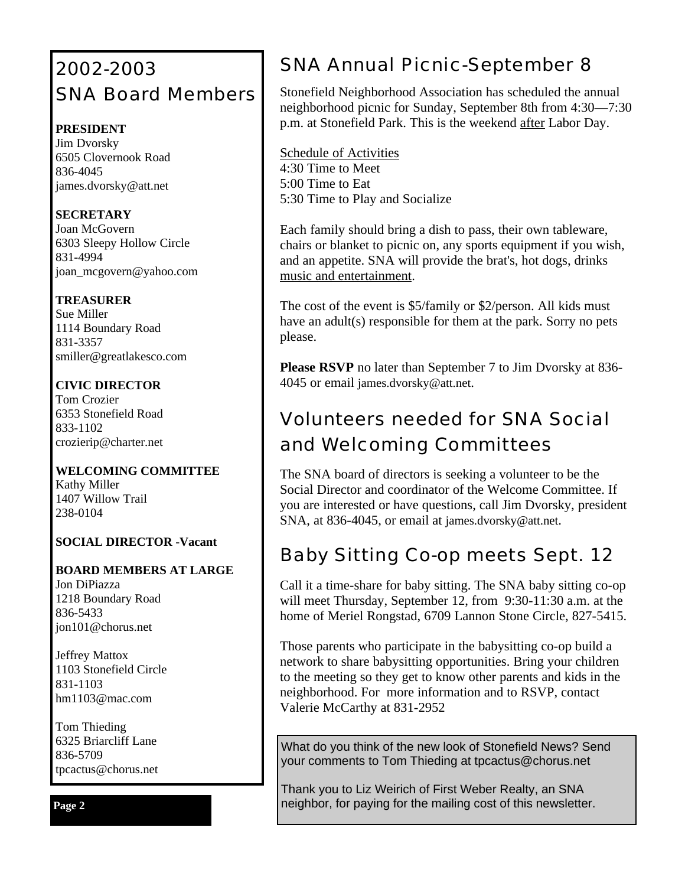### 2002-2003 SNA Board Members

#### **PRESIDENT**

Jim Dvorsky 6505 Clovernook Road 836-4045 james.dvorsky@att.net

#### **SECRETARY**

Joan McGovern 6303 Sleepy Hollow Circle 831-4994 joan\_mcgovern@yahoo.com

#### **TREASURER**

Sue Miller 1114 Boundary Road 831-3357 smiller@greatlakesco.com

#### **CIVIC DIRECTOR**

Tom Crozier 6353 Stonefield Road 833-1102 crozierip@charter.net

#### **WELCOMING COMMITTEE** Kathy Miller 1407 Willow Trail 238-0104

#### **SOCIAL DIRECTOR** -**Vacant**

**BOARD MEMBERS AT LARGE** Jon DiPiazza 1218 Boundary Road 836-5433 jon101@chorus.net

Jeffrey Mattox 1103 Stonefield Circle 831-1103 hm1103@mac.com

Tom Thieding 6325 Briarcliff Lane 836-5709 tpcactus@chorus.net

#### **Page 2**

### SNA Annual Picnic-September 8

Stonefield Neighborhood Association has scheduled the annual neighborhood picnic for Sunday, September 8th from 4:30—7:30 p.m. at Stonefield Park. This is the weekend after Labor Day.

Schedule of Activities 4:30 Time to Meet 5:00 Time to Eat 5:30 Time to Play and Socialize

Each family should bring a dish to pass, their own tableware, chairs or blanket to picnic on, any sports equipment if you wish, and an appetite. SNA will provide the brat's, hot dogs, drinks music and entertainment.

The cost of the event is \$5/family or \$2/person. All kids must have an adult(s) responsible for them at the park. Sorry no pets please.

**Please RSVP** no later than September 7 to Jim Dvorsky at 836- 4045 or email james.dvorsky@att.net.

### Volunteers needed for SNA Social and Welcoming Committees

The SNA board of directors is seeking a volunteer to be the Social Director and coordinator of the Welcome Committee. If you are interested or have questions, call Jim Dvorsky, president SNA, at 836-4045, or email at james.dvorsky@att.net.

### Baby Sitting Co-op meets Sept. 12

Call it a time-share for baby sitting. The SNA baby sitting co-op will meet Thursday, September 12, from 9:30-11:30 a.m. at the home of Meriel Rongstad, 6709 Lannon Stone Circle, 827-5415.

Those parents who participate in the babysitting co-op build a network to share babysitting opportunities. Bring your children to the meeting so they get to know other parents and kids in the neighborhood. For more information and to RSVP, contact Valerie McCarthy at 831-2952

What do you think of the new look of Stonefield News? Send your comments to Tom Thieding at tpcactus@chorus.net

Thank you to Liz Weirich of First Weber Realty, an SNA neighbor, for paying for the mailing cost of this newsletter.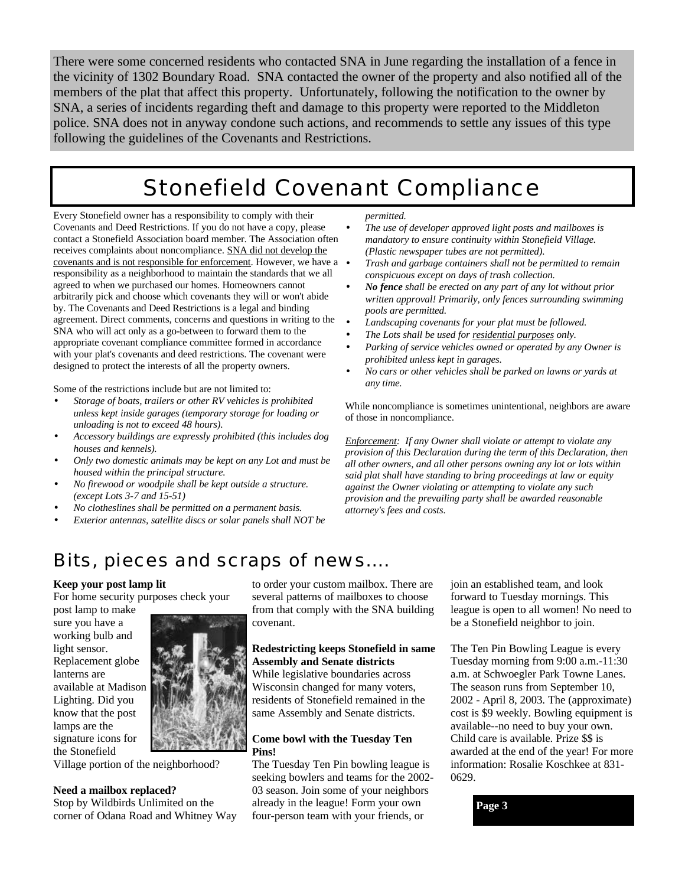There were some concerned residents who contacted SNA in June regarding the installation of a fence in the vicinity of 1302 Boundary Road. SNA contacted the owner of the property and also notified all of the members of the plat that affect this property. Unfortunately, following the notification to the owner by SNA, a series of incidents regarding theft and damage to this property were reported to the Middleton police. SNA does not in anyway condone such actions, and recommends to settle any issues of this type following the guidelines of the Covenants and Restrictions.

### Stonefield Covenant Compliance

Every Stonefield owner has a responsibility to comply with their Covenants and Deed Restrictions. If you do not have a copy, please contact a Stonefield Association board member. The Association often receives complaints about noncompliance. SNA did not develop the covenants and is not responsible for enforcement. However, we have a responsibility as a neighborhood to maintain the standards that we all agreed to when we purchased our homes. Homeowners cannot arbitrarily pick and choose which covenants they will or won't abide by. The Covenants and Deed Restrictions is a legal and binding agreement. Direct comments, concerns and questions in writing to the SNA who will act only as a go-between to forward them to the appropriate covenant compliance committee formed in accordance with your plat's covenants and deed restrictions. The covenant were designed to protect the interests of all the property owners.

Some of the restrictions include but are not limited to:

- *Storage of boats, trailers or other RV vehicles is prohibited unless kept inside garages (temporary storage for loading or unloading is not to exceed 48 hours).*
- *Accessory buildings are expressly prohibited (this includes dog houses and kennels).*
- *Only two domestic animals may be kept on any Lot and must be housed within the principal structure.*
- *No firewood or woodpile shall be kept outside a structure. (except Lots 3-7 and 15-51)*
- *No clotheslines shall be permitted on a permanent basis.*
- *Exterior antennas, satellite discs or solar panels shall NOT be*

*permitted.*

- *The use of developer approved light posts and mailboxes is mandatory to ensure continuity within Stonefield Village. (Plastic newspaper tubes are not permitted).*
- *Trash and garbage containers shall not be permitted to remain conspicuous except on days of trash collection.*
- *No fence shall be erected on any part of any lot without prior written approval! Primarily, only fences surrounding swimming pools are permitted.*
- *Landscaping covenants for your plat must be followed.*
- *The Lots shall be used for residential purposes only.*
- *Parking of service vehicles owned or operated by any Owner is prohibited unless kept in garages.*
- *No cars or other vehicles shall be parked on lawns or yards at any time.*

While noncompliance is sometimes unintentional, neighbors are aware of those in noncompliance.

*Enforcement: If any Owner shall violate or attempt to violate any provision of this Declaration during the term of this Declaration, then all other owners, and all other persons owning any lot or lots within said plat shall have standing to bring proceedings at law or equity against the Owner violating or attempting to violate any such provision and the prevailing party shall be awarded reasonable attorney's fees and costs.*

### Bits, pieces and scraps of news….

#### **Keep your post lamp lit**

For home security purposes check your

post lamp to make sure you have a working bulb and light sensor. Replacement globe lanterns are available at Madison Lighting. Did you know that the post lamps are the signature icons for the Stonefield



Village portion of the neighborhood?

#### **Need a mailbox replaced?**

Stop by Wildbirds Unlimited on the corner of Odana Road and Whitney Way to order your custom mailbox. There are several patterns of mailboxes to choose from that comply with the SNA building covenant.

#### **Redestricting keeps Stonefield in same Assembly and Senate districts**

While legislative boundaries across Wisconsin changed for many voters, residents of Stonefield remained in the same Assembly and Senate districts.

#### **Come bowl with the Tuesday Ten Pins!**

The Tuesday Ten Pin bowling league is seeking bowlers and teams for the 2002- 03 season. Join some of your neighbors already in the league! Form your own four-person team with your friends, or

join an established team, and look forward to Tuesday mornings. This league is open to all women! No need to be a Stonefield neighbor to join.

The Ten Pin Bowling League is every Tuesday morning from 9:00 a.m.-11:30 a.m. at Schwoegler Park Towne Lanes. The season runs from September 10, 2002 - April 8, 2003. The (approximate) cost is \$9 weekly. Bowling equipment is available--no need to buy your own. Child care is available. Prize \$\$ is awarded at the end of the year! For more information: Rosalie Koschkee at 831- 0629.

**Page 3**